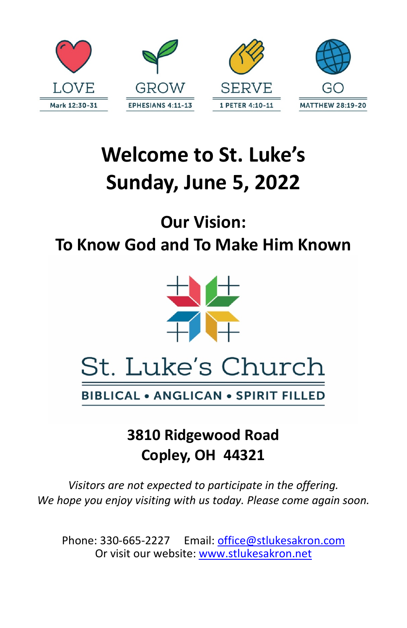

# **Welcome to St. Luke's Sunday, June 5, 2022**

# **Our Vision:**

# **To Know God and To Make Him Known**



# St. Luke's Church

**BIBLICAL • ANGLICAN • SPIRIT FILLED** 

**3810 Ridgewood Road Copley, OH 44321**

*Visitors are not expected to participate in the offering. We hope you enjoy visiting with us today. Please come again soon.* 

Phone: 330-665-2227 Email: [office@stlukesakron.com](mailto:office@stlukesakron.com) Or visit our website: [www.stlukesakron.net](http://www.stlukesakron.net/)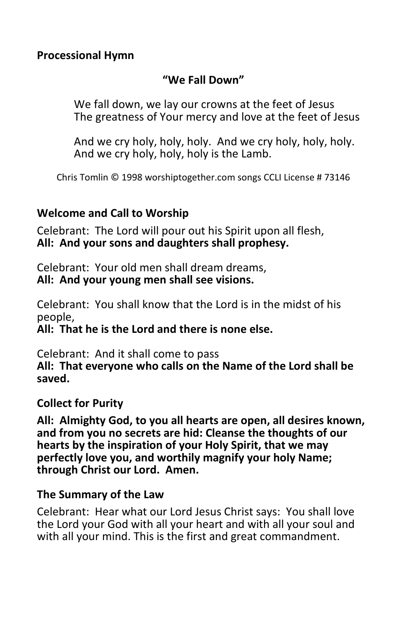#### **Processional Hymn**

### **"We Fall Down"**

We fall down, we lay our crowns at the feet of Jesus The greatness of Your mercy and love at the feet of Jesus

And we cry holy, holy, holy. And we cry holy, holy, holy. And we cry holy, holy, holy is the Lamb.

Chris Tomlin © 1998 worshiptogether.com songs CCLI License # 73146

# **Welcome and Call to Worship**

Celebrant: The Lord will pour out his Spirit upon all flesh, **All: And your sons and daughters shall prophesy.**

Celebrant: Your old men shall dream dreams, **All: And your young men shall see visions.**

Celebrant: You shall know that the Lord is in the midst of his people,

**All: That he is the Lord and there is none else.**

Celebrant: And it shall come to pass

**All: That everyone who calls on the Name of the Lord shall be saved.**

#### **Collect for Purity**

**All: Almighty God, to you all hearts are open, all desires known, and from you no secrets are hid: Cleanse the thoughts of our hearts by the inspiration of your Holy Spirit, that we may perfectly love you, and worthily magnify your holy Name; through Christ our Lord. Amen.**

#### **The Summary of the Law**

Celebrant: Hear what our Lord Jesus Christ says: You shall love the Lord your God with all your heart and with all your soul and with all your mind. This is the first and great commandment.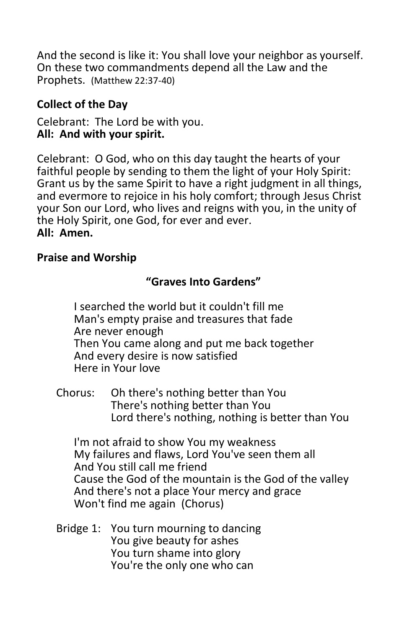And the second is like it: You shall love your neighbor as yourself. On these two commandments depend all the Law and the Prophets. (Matthew 22:37-40)

# **Collect of the Day**

Celebrant: The Lord be with you. **All: And with your spirit.**

Celebrant: O God, who on this day taught the hearts of your faithful people by sending to them the light of your Holy Spirit: Grant us by the same Spirit to have a right judgment in all things, and evermore to rejoice in his holy comfort; through Jesus Christ your Son our Lord, who lives and reigns with you, in the unity of the Holy Spirit, one God, for ever and ever. **All: Amen.**

#### **Praise and Worship**

#### **"Graves Into Gardens"**

I searched the world but it couldn't fill me Man's empty praise and treasures that fade Are never enough Then You came along and put me back together And every desire is now satisfied Here in Your love

Chorus: Oh there's nothing better than You There's nothing better than You Lord there's nothing, nothing is better than You

I'm not afraid to show You my weakness My failures and flaws, Lord You've seen them all And You still call me friend Cause the God of the mountain is the God of the valley And there's not a place Your mercy and grace Won't find me again (Chorus)

Bridge 1: You turn mourning to dancing You give beauty for ashes You turn shame into glory You're the only one who can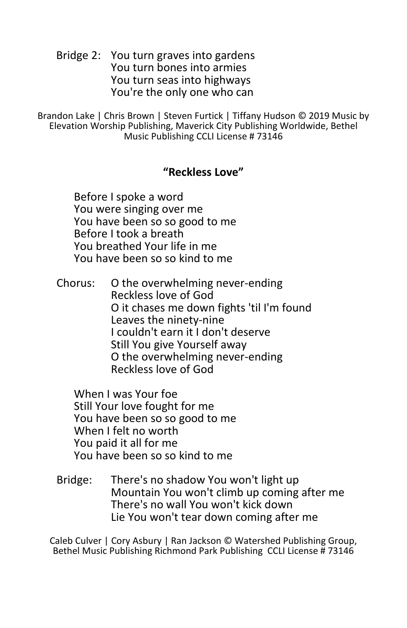#### Bridge 2: You turn graves into gardens You turn bones into armies You turn seas into highways You're the only one who can

Brandon Lake | Chris Brown | Steven Furtick | Tiffany Hudson © 2019 Music by Elevation Worship Publishing, Maverick City Publishing Worldwide, Bethel Music Publishing CCLI License # 73146

#### **"Reckless Love"**

Before I spoke a word You were singing over me You have been so so good to me Before I took a breath You breathed Your life in me You have been so so kind to me

 Chorus: O the overwhelming never-ending Reckless love of God O it chases me down fights 'til I'm found Leaves the ninety-nine I couldn't earn it I don't deserve Still You give Yourself away O the overwhelming never-ending Reckless love of God

When I was Your foe Still Your love fought for me You have been so so good to me When I felt no worth You paid it all for me You have been so so kind to me

 Bridge: There's no shadow You won't light up Mountain You won't climb up coming after me There's no wall You won't kick down Lie You won't tear down coming after me

Caleb Culver | Cory Asbury | Ran Jackson © Watershed Publishing Group, Bethel Music Publishing Richmond Park Publishing CCLI License # 73146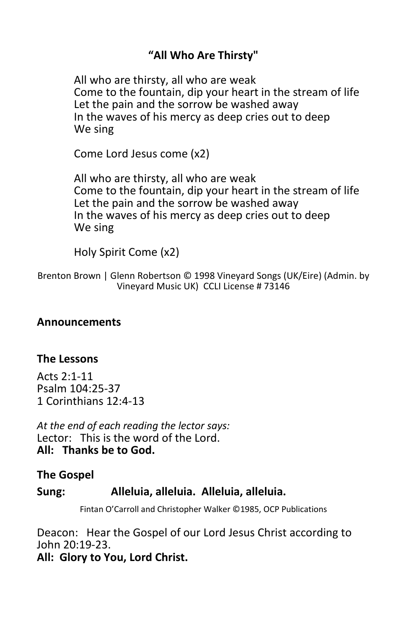# **"All Who Are Thirsty"**

All who are thirsty, all who are weak Come to the fountain, dip your heart in the stream of life Let the pain and the sorrow be washed away In the waves of his mercy as deep cries out to deep We sing

Come Lord Jesus come (x2)

All who are thirsty, all who are weak Come to the fountain, dip your heart in the stream of life Let the pain and the sorrow be washed away In the waves of his mercy as deep cries out to deep We sing

Holy Spirit Come (x2)

Brenton Brown | Glenn Robertson © 1998 Vineyard Songs (UK/Eire) (Admin. by Vineyard Music UK) CCLI License # 73146

#### **Announcements**

#### **The Lessons**

Acts 2:1-11 Psalm 104:25-37 1 Corinthians 12:4-13

*At the end of each reading the lector says:* Lector: This is the word of the Lord. **All: Thanks be to God.** 

#### **The Gospel**

#### **Sung: Alleluia, alleluia. Alleluia, alleluia.**

Fintan O'Carroll and Christopher Walker ©1985, OCP Publications

Deacon: Hear the Gospel of our Lord Jesus Christ according to John 20:19-23.

**All: Glory to You, Lord Christ.**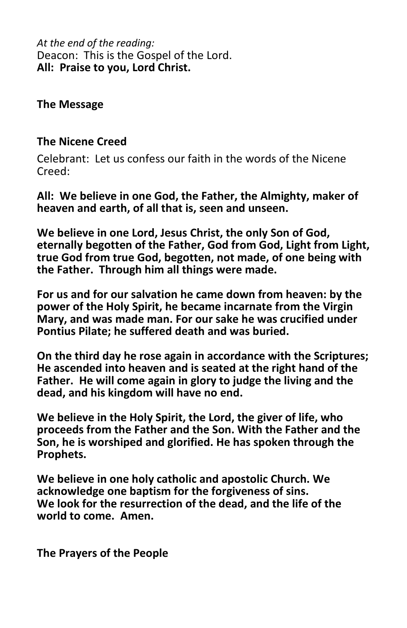*At the end of the reading:* Deacon: This is the Gospel of the Lord. **All: Praise to you, Lord Christ.**

#### **The Message**

#### **The Nicene Creed**

Celebrant: Let us confess our faith in the words of the Nicene Creed:

**All: We believe in one God, the Father, the Almighty, maker of heaven and earth, of all that is, seen and unseen.** 

**We believe in one Lord, Jesus Christ, the only Son of God, eternally begotten of the Father, God from God, Light from Light, true God from true God, begotten, not made, of one being with the Father. Through him all things were made.** 

**For us and for our salvation he came down from heaven: by the power of the Holy Spirit, he became incarnate from the Virgin Mary, and was made man. For our sake he was crucified under Pontius Pilate; he suffered death and was buried.** 

**On the third day he rose again in accordance with the Scriptures; He ascended into heaven and is seated at the right hand of the Father. He will come again in glory to judge the living and the dead, and his kingdom will have no end.** 

**We believe in the Holy Spirit, the Lord, the giver of life, who proceeds from the Father and the Son. With the Father and the Son, he is worshiped and glorified. He has spoken through the Prophets.** 

**We believe in one holy catholic and apostolic Church. We acknowledge one baptism for the forgiveness of sins. We look for the resurrection of the dead, and the life of the world to come. Amen.**

**The Prayers of the People**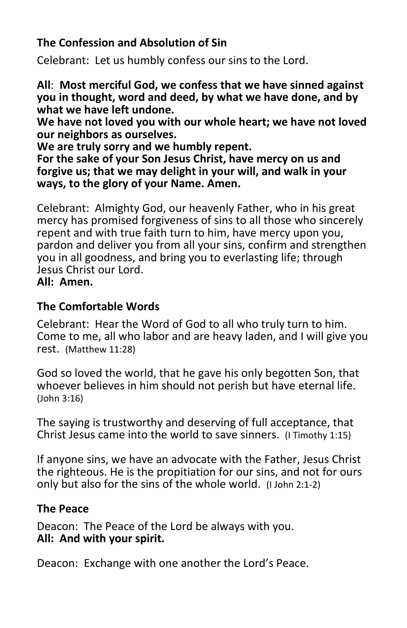# **The Confession and Absolution of Sin**

Celebrant: Let us humbly confess our sins to the Lord.

**All**: **Most merciful God, we confess that we have sinned against you in thought, word and deed, by what we have done, and by what we have left undone.** 

**We have not loved you with our whole heart; we have not loved our neighbors as ourselves.** 

**We are truly sorry and we humbly repent.** 

**For the sake of your Son Jesus Christ, have mercy on us and forgive us; that we may delight in your will, and walk in your ways, to the glory of your Name. Amen.**

Celebrant: Almighty God, our heavenly Father, who in his great mercy has promised forgiveness of sins to all those who sincerely repent and with true faith turn to him, have mercy upon you, pardon and deliver you from all your sins, confirm and strengthen you in all goodness, and bring you to everlasting life; through Jesus Christ our Lord.

**All: Amen.**

# **The Comfortable Words**

Celebrant: Hear the Word of God to all who truly turn to him. Come to me, all who labor and are heavy laden, and I will give you rest. (Matthew 11:28)

God so loved the world, that he gave his only begotten Son, that whoever believes in him should not perish but have eternal life. (John 3:16)

The saying is trustworthy and deserving of full acceptance, that Christ Jesus came into the world to save sinners. (I Timothy 1:15)

If anyone sins, we have an advocate with the Father, Jesus Christ the righteous. He is the propitiation for our sins, and not for ours only but also for the sins of the whole world. (I John 2:1-2)

# **The Peace**

Deacon:The Peace of the Lord be always with you. **All: And with your spirit.**

Deacon: Exchange with one another the Lord's Peace.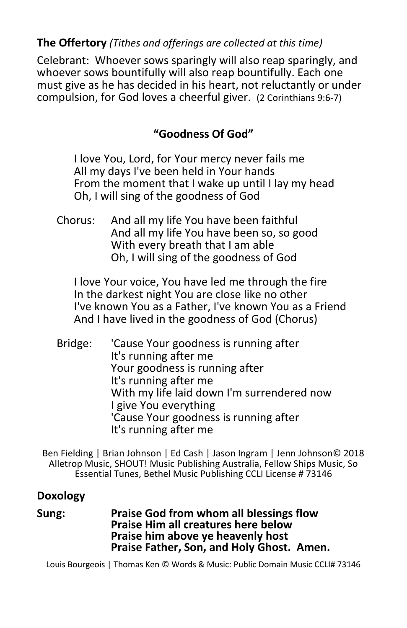# **The Offertory** *(Tithes and offerings are collected at this time)*

Celebrant: Whoever sows sparingly will also reap sparingly, and whoever sows bountifully will also reap bountifully. Each one must give as he has decided in his heart, not reluctantly or under compulsion, for God loves a cheerful giver. (2 Corinthians 9:6-7)

# **"Goodness Of God"**

I love You, Lord, for Your mercy never fails me All my days I've been held in Your hands From the moment that I wake up until I lay my head Oh, I will sing of the goodness of God

 Chorus: And all my life You have been faithful And all my life You have been so, so good With every breath that I am able Oh, I will sing of the goodness of God

I love Your voice, You have led me through the fire In the darkest night You are close like no other I've known You as a Father, I've known You as a Friend And I have lived in the goodness of God (Chorus)

 Bridge: 'Cause Your goodness is running after It's running after me Your goodness is running after It's running after me With my life laid down I'm surrendered now I give You everything 'Cause Your goodness is running after It's running after me

Ben Fielding | Brian Johnson | Ed Cash | Jason Ingram | Jenn Johnson© 2018 Alletrop Music, SHOUT! Music Publishing Australia, Fellow Ships Music, So Essential Tunes, Bethel Music Publishing CCLI License # 73146

# **Doxology**

**Sung: Praise God from whom all blessings flow Praise Him all creatures here below Praise him above ye heavenly host Praise Father, Son, and Holy Ghost. Amen.**

Louis Bourgeois | Thomas Ken © Words & Music: Public Domain Music CCLI# 73146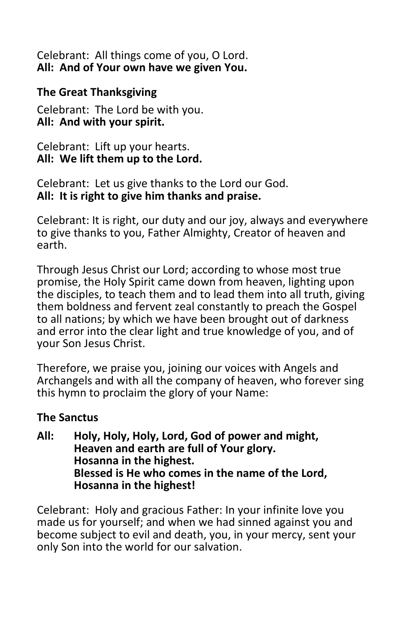Celebrant: All things come of you, O Lord. **All: And of Your own have we given You.**

#### **The Great Thanksgiving**

Celebrant: The Lord be with you. **All: And with your spirit.**

Celebrant: Lift up your hearts. **All: We lift them up to the Lord.**

Celebrant: Let us give thanks to the Lord our God. **All: It is right to give him thanks and praise.**

Celebrant: It is right, our duty and our joy, always and everywhere to give thanks to you, Father Almighty, Creator of heaven and earth.

Through Jesus Christ our Lord; according to whose most true promise, the Holy Spirit came down from heaven, lighting upon the disciples, to teach them and to lead them into all truth, giving them boldness and fervent zeal constantly to preach the Gospel to all nations; by which we have been brought out of darkness and error into the clear light and true knowledge of you, and of your Son Jesus Christ.

Therefore, we praise you, joining our voices with Angels and Archangels and with all the company of heaven, who forever sing this hymn to proclaim the glory of your Name:

#### **The Sanctus**

**All: Holy, Holy, Holy, Lord, God of power and might, Heaven and earth are full of Your glory. Hosanna in the highest. Blessed is He who comes in the name of the Lord, Hosanna in the highest!**

Celebrant: Holy and gracious Father: In your infinite love you made us for yourself; and when we had sinned against you and become subject to evil and death, you, in your mercy, sent your only Son into the world for our salvation.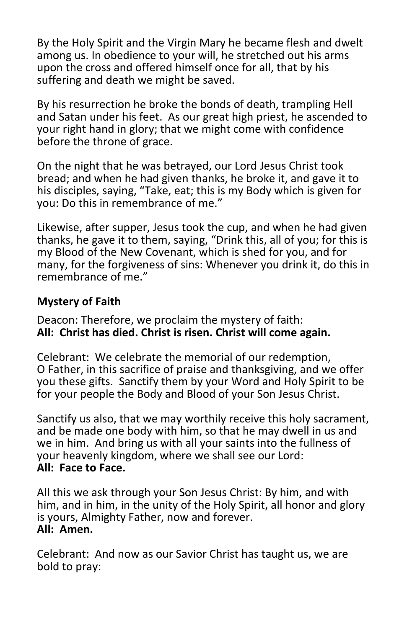By the Holy Spirit and the Virgin Mary he became flesh and dwelt among us. In obedience to your will, he stretched out his arms upon the cross and offered himself once for all, that by his suffering and death we might be saved.

By his resurrection he broke the bonds of death, trampling Hell and Satan under his feet. As our great high priest, he ascended to your right hand in glory; that we might come with confidence before the throne of grace.

On the night that he was betrayed, our Lord Jesus Christ took bread; and when he had given thanks, he broke it, and gave it to his disciples, saying, "Take, eat; this is my Body which is given for you: Do this in remembrance of me."

Likewise, after supper, Jesus took the cup, and when he had given thanks, he gave it to them, saying, "Drink this, all of you; for this is my Blood of the New Covenant, which is shed for you, and for many, for the forgiveness of sins: Whenever you drink it, do this in remembrance of me."

#### **Mystery of Faith**

Deacon: Therefore, we proclaim the mystery of faith: **All: Christ has died. Christ is risen. Christ will come again.**

Celebrant: We celebrate the memorial of our redemption, O Father, in this sacrifice of praise and thanksgiving, and we offer you these gifts. Sanctify them by your Word and Holy Spirit to be for your people the Body and Blood of your Son Jesus Christ.

Sanctify us also, that we may worthily receive this holy sacrament, and be made one body with him, so that he may dwell in us and we in him. And bring us with all your saints into the fullness of your heavenly kingdom, where we shall see our Lord: **All: Face to Face.**

All this we ask through your Son Jesus Christ: By him, and with him, and in him, in the unity of the Holy Spirit, all honor and glory is yours, Almighty Father, now and forever. **All: Amen.**

Celebrant: And now as our Savior Christ has taught us, we are bold to pray: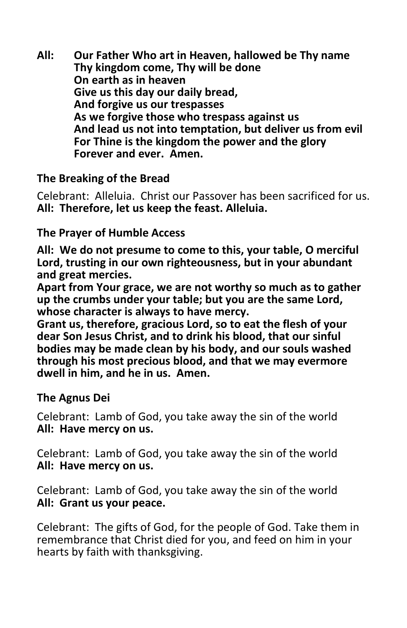**All: Our Father Who art in Heaven, hallowed be Thy name Thy kingdom come, Thy will be done On earth as in heaven Give us this day our daily bread, And forgive us our trespasses As we forgive those who trespass against us And lead us not into temptation, but deliver us from evil For Thine is the kingdom the power and the glory Forever and ever. Amen.**

#### **The Breaking of the Bread**

Celebrant: Alleluia. Christ our Passover has been sacrificed for us. **All: Therefore, let us keep the feast. Alleluia.** 

#### **The Prayer of Humble Access**

**All: We do not presume to come to this, your table, O merciful Lord, trusting in our own righteousness, but in your abundant and great mercies.** 

**Apart from Your grace, we are not worthy so much as to gather up the crumbs under your table; but you are the same Lord, whose character is always to have mercy.** 

**Grant us, therefore, gracious Lord, so to eat the flesh of your dear Son Jesus Christ, and to drink his blood, that our sinful bodies may be made clean by his body, and our souls washed through his most precious blood, and that we may evermore dwell in him, and he in us. Amen.**

#### **The Agnus Dei**

Celebrant: Lamb of God, you take away the sin of the world **All: Have mercy on us.** 

Celebrant: Lamb of God, you take away the sin of the world **All: Have mercy on us.** 

Celebrant: Lamb of God, you take away the sin of the world **All: Grant us your peace.**

Celebrant: The gifts of God, for the people of God. Take them in remembrance that Christ died for you, and feed on him in your hearts by faith with thanksgiving.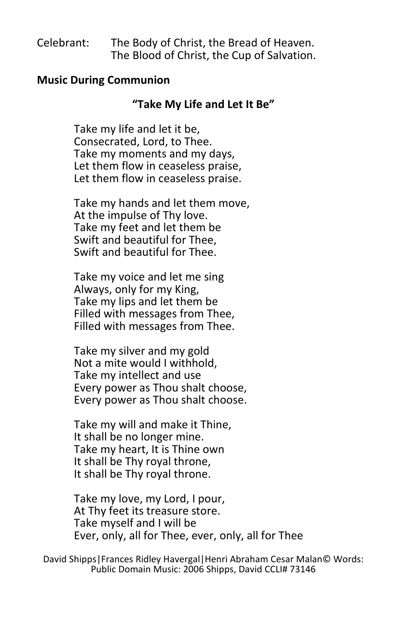#### Celebrant: The Body of Christ, the Bread of Heaven. The Blood of Christ, the Cup of Salvation.

#### **Music During Communion**

#### **"Take My Life and Let It Be"**

Take my life and let it be, Consecrated, Lord, to Thee. Take my moments and my days, Let them flow in ceaseless praise, Let them flow in ceaseless praise.

Take my hands and let them move, At the impulse of Thy love. Take my feet and let them be Swift and beautiful for Thee, Swift and beautiful for Thee.

Take my voice and let me sing Always, only for my King, Take my lips and let them be Filled with messages from Thee, Filled with messages from Thee.

Take my silver and my gold Not a mite would I withhold, Take my intellect and use Every power as Thou shalt choose, Every power as Thou shalt choose.

Take my will and make it Thine, It shall be no longer mine. Take my heart, It is Thine own It shall be Thy royal throne, It shall be Thy royal throne.

Take my love, my Lord, I pour, At Thy feet its treasure store. Take myself and I will be Ever, only, all for Thee, ever, only, all for Thee

David Shipps|Frances Ridley Havergal|Henri Abraham Cesar Malan© Words: Public Domain Music: 2006 Shipps, David CCLI# 73146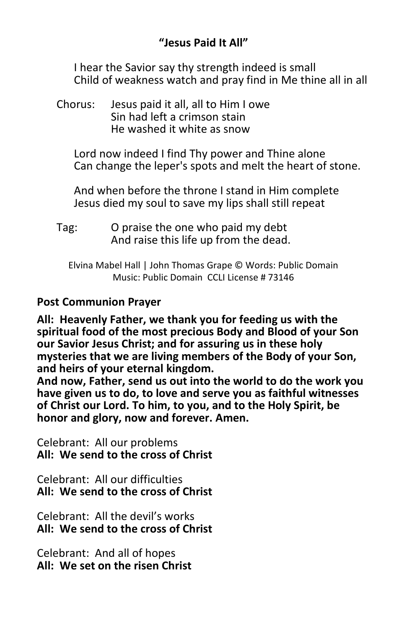# **"Jesus Paid It All"**

I hear the Savior say thy strength indeed is small Child of weakness watch and pray find in Me thine all in all

 Chorus: Jesus paid it all, all to Him I owe Sin had left a crimson stain He washed it white as snow

Lord now indeed I find Thy power and Thine alone Can change the leper's spots and melt the heart of stone.

And when before the throne I stand in Him complete Jesus died my soul to save my lips shall still repeat

 Tag: O praise the one who paid my debt And raise this life up from the dead.

Elvina Mabel Hall | John Thomas Grape © Words: Public Domain Music: Public Domain CCLI License # 73146

#### **Post Communion Prayer**

**All: Heavenly Father, we thank you for feeding us with the spiritual food of the most precious Body and Blood of your Son our Savior Jesus Christ; and for assuring us in these holy mysteries that we are living members of the Body of your Son, and heirs of your eternal kingdom.** 

**And now, Father, send us out into the world to do the work you have given us to do, to love and serve you as faithful witnesses of Christ our Lord. To him, to you, and to the Holy Spirit, be honor and glory, now and forever. Amen.**

Celebrant: All our problems **All: We send to the cross of Christ**

Celebrant: All our difficulties **All: We send to the cross of Christ**

Celebrant: All the devil's works **All: We send to the cross of Christ**

Celebrant: And all of hopes **All: We set on the risen Christ**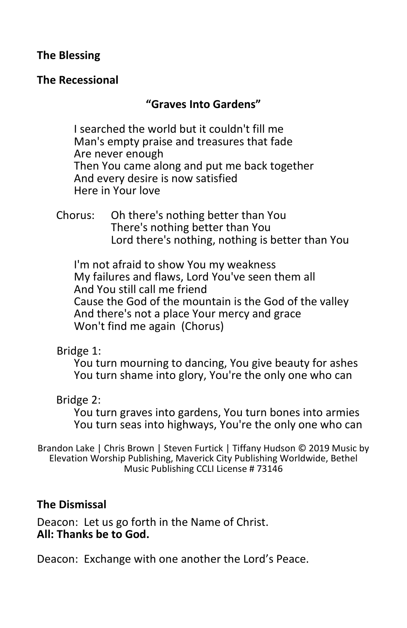#### **The Blessing**

#### **The Recessional**

#### **"Graves Into Gardens"**

I searched the world but it couldn't fill me Man's empty praise and treasures that fade Are never enough Then You came along and put me back together And every desire is now satisfied Here in Your love

Chorus: Oh there's nothing better than You There's nothing better than You Lord there's nothing, nothing is better than You

I'm not afraid to show You my weakness My failures and flaws, Lord You've seen them all And You still call me friend Cause the God of the mountain is the God of the valley And there's not a place Your mercy and grace Won't find me again (Chorus)

Bridge 1:

You turn mourning to dancing, You give beauty for ashes You turn shame into glory, You're the only one who can

Bridge 2:

You turn graves into gardens, You turn bones into armies You turn seas into highways, You're the only one who can

Brandon Lake | Chris Brown | Steven Furtick | Tiffany Hudson © 2019 Music by Elevation Worship Publishing, Maverick City Publishing Worldwide, Bethel Music Publishing CCLI License # 73146

#### **The Dismissal**

Deacon: Let us go forth in the Name of Christ. **All: Thanks be to God.**

Deacon: Exchange with one another the Lord's Peace.